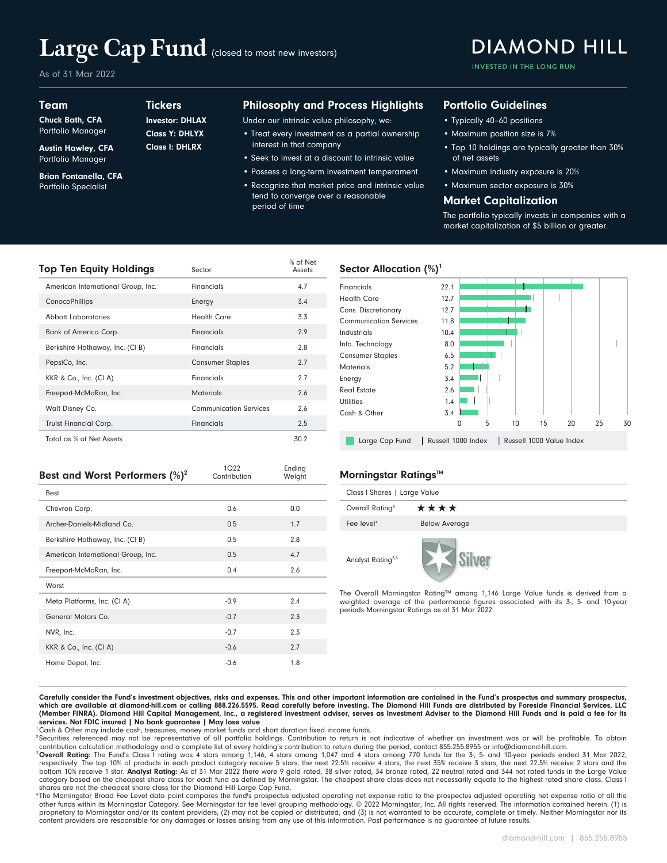# Large Cap Fund (closed to most new investors)

**Tickers** 

Class I: DHLRX Class Y: DHLYX Investor: DHLAX

As of 31 Mar 2022

Team

Chuck Bath, CFA Portfolio Manager

Austin Hawley, CFA Portfolio Manager

Brian Fontanella, CFA Portfolio Specialist

### Philosophy and Process Highlights

Under our intrinsic value philosophy, we:

- Treat every investment as a partial ownership interest in that company
- Seek to invest at a discount to intrinsic value
- Possess a long-term investment temperament • Recognize that market price and intrinsic value tend to converge over a reasonable period of time

### Portfolio Guidelines

- Typically 40–60 positions
- Maximum position size is 7%
- Top 10 holdings are typically greater than 30% of net assets

INVESTED IN THE LONG RUN

**DIAMOND HILL** 

- Maximum industry exposure is 20%
- Maximum sector exposure is 30%

#### Market Capitalization

The portfolio typically invests in companies with a market capitalization of \$5 billion or greater.

| Top Ten Equity Holdings            | Sector                        | % of Net<br>Assets |
|------------------------------------|-------------------------------|--------------------|
| American International Group, Inc. | Financials                    | 4.7                |
| ConocoPhillips                     | Energy                        | 3.4                |
| Abbott Laboratories                | <b>Health Care</b>            | 3.3                |
| <b>Bank of America Corp.</b>       | Financials                    | 2.9                |
| Berkshire Hathaway, Inc. (CI B)    | Financials                    | 2.8                |
| PepsiCo, Inc.                      | <b>Consumer Staples</b>       | 2.7                |
| KKR & Co., Inc. (CI A)             | Financials                    | 2.7                |
| Freeport-McMoRan, Inc.             | <b>Materials</b>              | 2.6                |
| Walt Disney Co.                    | <b>Communication Services</b> | 2.6                |
| <b>Truist Financial Corp.</b>      | Financials                    | 2.5                |
| Total as % of Net Assets           |                               | 30.2               |

#### Sector Allocation  $(\%)^1$



| Best and Worst Performers $(\%)^2$ | 1Q22<br>Contribution | Ending<br>Weight |
|------------------------------------|----------------------|------------------|
| <b>Best</b>                        |                      |                  |
| Chevron Corp.                      | 0.6                  | 0.0              |
| Archer-Daniels-Midland Co.         | 0.5                  | 1.7              |
| Berkshire Hathaway, Inc. (CI B)    | 0.5                  | 2.8              |
| American International Group, Inc. | 0.5                  | 4.7              |
| Freeport-McMoRan, Inc.             | 0.4                  | 2.6              |
| Worst                              |                      |                  |
| Meta Platforms, Inc. (CI A)        | $-0.9$               | 2.4              |
| General Motors Co.                 | $-0.7$               | 2.3              |
| NVR, Inc.                          | $-0.7$               | 2.3              |
| KKR & Co., Inc. (CI A)             | $-0.6$               | 2.7              |
| Home Depot, Inc.                   | $-0.6$               | 1.8              |

#### **Morningstar Ratings™**

| Class I Shares   Large Value  |                      |  |  |  |  |  |
|-------------------------------|----------------------|--|--|--|--|--|
| Overall Rating <sup>3</sup>   | ****                 |  |  |  |  |  |
| Fee level <sup>4</sup>        | <b>Below Average</b> |  |  |  |  |  |
| Analyst Rating <sup>3,5</sup> |                      |  |  |  |  |  |

The Overall Morningstar Rating™ among 1,146 Large Value funds is derived from a weighted average of the performance figures associated with its 3-, 5- and 10-year periods Morningstar Ratings as of 31 Mar 2022.

Carefully consider the Fund's investment objectives, risks and expenses. This and other important information are contained in the Fund's prospectus and summary prospectus, which are available at diamond-hill.com or calling 888.226.5595. Read carefully before investing. The Diamond Hill Funds are distributed by Foreside Financial Services, LLC (Member FINRA). Diamond Hill Capital Management, Inc., a registered investment adviser, serves as Investment Adviser to the Diamond Hill Funds and is paid a fee for its services. Not FDIC insured | No bank guarantee | May lose value

Cash & Other may include cash, treasuries, money market funds and short duration fixed income funds.

<sup>2</sup> Securities referenced may not be representative of all portfolio holdings. Contribution to return is not indicative of whether an investment was or will be profitable. To obtain contribution calculation methodology and a complete list of every holding's contribution to return during the period, contact 855.255.8955 or info@diamond-hill.com.

<sup>3</sup> Overall Rating: The Fund's Class I rating was 4 stars among 1,146, 4 stars among 1,047 and 4 stars among 770 funds for the 3-, 5- and 10-year periods ended 31 Mar 2022, respectively. The top 10% of products in each pro category based on the cheapest share class for each fund as defined by Morningstar. The cheapest share class does not necessarily equate to the highest rated share class. Class I shares are not the cheapest share class for the Diamond Hill Large Cap Fund.

<sup>4</sup>The Morningstar Broad Fee Level data point compares the fund's prospectus adjusted operating net expense ratio of all the prospectus adjusted operating net expense ratio of all the other funds within its Morningstar Category. See Morningstar for fee level grouping methodology. © 2022 Morningstar, Inc. All rights reserved. The information contained herein: (1) is proprietary to Morningstar and/or its content providers; (2) may not be copied or distributed; and (3) is not warranted to be accurate, complete or timely. Neither Morningstar nor its content providers are responsible for any damages or losses arising from any use of this information. Past performance is no guarantee of future results.